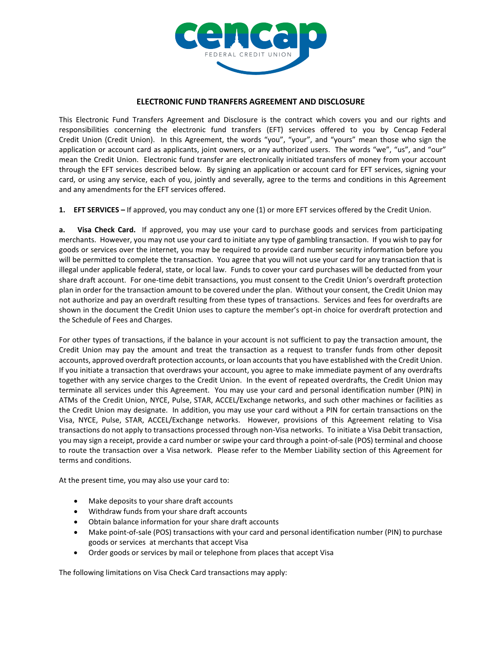

## **ELECTRONIC FUND TRANFERS AGREEMENT AND DISCLOSURE**

This Electronic Fund Transfers Agreement and Disclosure is the contract which covers you and our rights and responsibilities concerning the electronic fund transfers (EFT) services offered to you by Cencap Federal Credit Union (Credit Union). In this Agreement, the words "you", "your", and "yours" mean those who sign the application or account card as applicants, joint owners, or any authorized users. The words "we", "us", and "our" mean the Credit Union. Electronic fund transfer are electronically initiated transfers of money from your account through the EFT services described below. By signing an application or account card for EFT services, signing your card, or using any service, each of you, jointly and severally, agree to the terms and conditions in this Agreement and any amendments for the EFT services offered.

**1. EFT SERVICES –** If approved, you may conduct any one (1) or more EFT services offered by the Credit Union.

**a. Visa Check Card.** If approved, you may use your card to purchase goods and services from participating merchants. However, you may not use your card to initiate any type of gambling transaction. If you wish to pay for goods or services over the internet, you may be required to provide card number security information before you will be permitted to complete the transaction. You agree that you will not use your card for any transaction that is illegal under applicable federal, state, or local law. Funds to cover your card purchases will be deducted from your share draft account. For one-time debit transactions, you must consent to the Credit Union's overdraft protection plan in order for the transaction amount to be covered under the plan. Without your consent, the Credit Union may not authorize and pay an overdraft resulting from these types of transactions. Services and fees for overdrafts are shown in the document the Credit Union uses to capture the member's opt-in choice for overdraft protection and the Schedule of Fees and Charges.

For other types of transactions, if the balance in your account is not sufficient to pay the transaction amount, the Credit Union may pay the amount and treat the transaction as a request to transfer funds from other deposit accounts, approved overdraft protection accounts, or loan accounts that you have established with the Credit Union. If you initiate a transaction that overdraws your account, you agree to make immediate payment of any overdrafts together with any service charges to the Credit Union. In the event of repeated overdrafts, the Credit Union may terminate all services under this Agreement. You may use your card and personal identification number (PIN) in ATMs of the Credit Union, NYCE, Pulse, STAR, ACCEL/Exchange networks, and such other machines or facilities as the Credit Union may designate. In addition, you may use your card without a PIN for certain transactions on the Visa, NYCE, Pulse, STAR, ACCEL/Exchange networks. However, provisions of this Agreement relating to Visa transactions do not apply to transactions processed through non-Visa networks. To initiate a Visa Debit transaction, you may sign a receipt, provide a card number or swipe your card through a point-of-sale (POS) terminal and choose to route the transaction over a Visa network. Please refer to the Member Liability section of this Agreement for terms and conditions.

At the present time, you may also use your card to:

- Make deposits to your share draft accounts
- Withdraw funds from your share draft accounts
- Obtain balance information for your share draft accounts
- Make point-of-sale (POS) transactions with your card and personal identification number (PIN) to purchase goods or services at merchants that accept Visa
- Order goods or services by mail or telephone from places that accept Visa

The following limitations on Visa Check Card transactions may apply: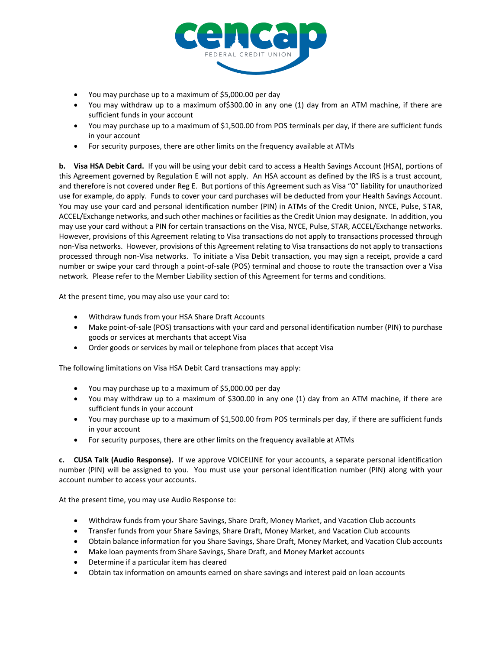

- You may purchase up to a maximum of \$5,000.00 per day
- You may withdraw up to a maximum of\$300.00 in any one (1) day from an ATM machine, if there are sufficient funds in your account
- You may purchase up to a maximum of \$1,500.00 from POS terminals per day, if there are sufficient funds in your account
- For security purposes, there are other limits on the frequency available at ATMs

**b. Visa HSA Debit Card.** If you will be using your debit card to access a Health Savings Account (HSA), portions of this Agreement governed by Regulation E will not apply. An HSA account as defined by the IRS is a trust account, and therefore is not covered under Reg E. But portions of this Agreement such as Visa "0" liability for unauthorized use for example, do apply. Funds to cover your card purchases will be deducted from your Health Savings Account. You may use your card and personal identification number (PIN) in ATMs of the Credit Union, NYCE, Pulse, STAR, ACCEL/Exchange networks, and such other machines or facilities as the Credit Union may designate. In addition, you may use your card without a PIN for certain transactions on the Visa, NYCE, Pulse, STAR, ACCEL/Exchange networks. However, provisions of this Agreement relating to Visa transactions do not apply to transactions processed through non-Visa networks. However, provisions of this Agreement relating to Visa transactions do not apply to transactions processed through non-Visa networks. To initiate a Visa Debit transaction, you may sign a receipt, provide a card number or swipe your card through a point-of-sale (POS) terminal and choose to route the transaction over a Visa network. Please refer to the Member Liability section of this Agreement for terms and conditions.

At the present time, you may also use your card to:

- Withdraw funds from your HSA Share Draft Accounts
- Make point-of-sale (POS) transactions with your card and personal identification number (PIN) to purchase goods or services at merchants that accept Visa
- Order goods or services by mail or telephone from places that accept Visa

The following limitations on Visa HSA Debit Card transactions may apply:

- You may purchase up to a maximum of \$5,000.00 per day
- You may withdraw up to a maximum of \$300.00 in any one (1) day from an ATM machine, if there are sufficient funds in your account
- You may purchase up to a maximum of \$1,500.00 from POS terminals per day, if there are sufficient funds in your account
- For security purposes, there are other limits on the frequency available at ATMs

**c. CUSA Talk (Audio Response).** If we approve VOICELINE for your accounts, a separate personal identification number (PIN) will be assigned to you. You must use your personal identification number (PIN) along with your account number to access your accounts.

At the present time, you may use Audio Response to:

- Withdraw funds from your Share Savings, Share Draft, Money Market, and Vacation Club accounts
- Transfer funds from your Share Savings, Share Draft, Money Market, and Vacation Club accounts
- Obtain balance information for you Share Savings, Share Draft, Money Market, and Vacation Club accounts
- Make loan payments from Share Savings, Share Draft, and Money Market accounts
- Determine if a particular item has cleared
- Obtain tax information on amounts earned on share savings and interest paid on loan accounts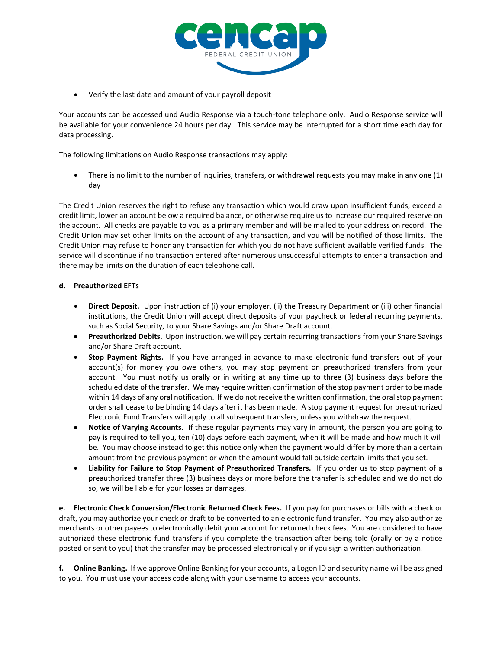

Verify the last date and amount of your payroll deposit

Your accounts can be accessed und Audio Response via a touch-tone telephone only. Audio Response service will be available for your convenience 24 hours per day. This service may be interrupted for a short time each day for data processing.

The following limitations on Audio Response transactions may apply:

 There is no limit to the number of inquiries, transfers, or withdrawal requests you may make in any one (1) day

The Credit Union reserves the right to refuse any transaction which would draw upon insufficient funds, exceed a credit limit, lower an account below a required balance, or otherwise require us to increase our required reserve on the account. All checks are payable to you as a primary member and will be mailed to your address on record. The Credit Union may set other limits on the account of any transaction, and you will be notified of those limits. The Credit Union may refuse to honor any transaction for which you do not have sufficient available verified funds. The service will discontinue if no transaction entered after numerous unsuccessful attempts to enter a transaction and there may be limits on the duration of each telephone call.

# **d. Preauthorized EFTs**

- **Direct Deposit.** Upon instruction of (i) your employer, (ii) the Treasury Department or (iii) other financial institutions, the Credit Union will accept direct deposits of your paycheck or federal recurring payments, such as Social Security, to your Share Savings and/or Share Draft account.
- **Preauthorized Debits.** Upon instruction, we will pay certain recurring transactions from your Share Savings and/or Share Draft account.
- **Stop Payment Rights.** If you have arranged in advance to make electronic fund transfers out of your account(s) for money you owe others, you may stop payment on preauthorized transfers from your account. You must notify us orally or in writing at any time up to three (3) business days before the scheduled date of the transfer. We may require written confirmation of the stop payment order to be made within 14 days of any oral notification. If we do not receive the written confirmation, the oral stop payment order shall cease to be binding 14 days after it has been made. A stop payment request for preauthorized Electronic Fund Transfers will apply to all subsequent transfers, unless you withdraw the request.
- **Notice of Varying Accounts.** If these regular payments may vary in amount, the person you are going to pay is required to tell you, ten (10) days before each payment, when it will be made and how much it will be. You may choose instead to get this notice only when the payment would differ by more than a certain amount from the previous payment or when the amount would fall outside certain limits that you set.
- **Liability for Failure to Stop Payment of Preauthorized Transfers.** If you order us to stop payment of a preauthorized transfer three (3) business days or more before the transfer is scheduled and we do not do so, we will be liable for your losses or damages.

**e. Electronic Check Conversion/Electronic Returned Check Fees.** If you pay for purchases or bills with a check or draft, you may authorize your check or draft to be converted to an electronic fund transfer. You may also authorize merchants or other payees to electronically debit your account for returned check fees. You are considered to have authorized these electronic fund transfers if you complete the transaction after being told (orally or by a notice posted or sent to you) that the transfer may be processed electronically or if you sign a written authorization.

**f. Online Banking.** If we approve Online Banking for your accounts, a Logon ID and security name will be assigned to you. You must use your access code along with your username to access your accounts.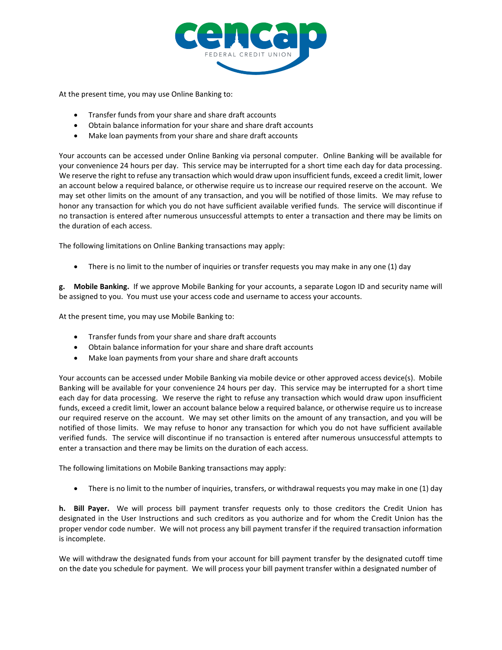

At the present time, you may use Online Banking to:

- Transfer funds from your share and share draft accounts
- Obtain balance information for your share and share draft accounts
- Make loan payments from your share and share draft accounts

Your accounts can be accessed under Online Banking via personal computer. Online Banking will be available for your convenience 24 hours per day. This service may be interrupted for a short time each day for data processing. We reserve the right to refuse any transaction which would draw upon insufficient funds, exceed a credit limit, lower an account below a required balance, or otherwise require us to increase our required reserve on the account. We may set other limits on the amount of any transaction, and you will be notified of those limits. We may refuse to honor any transaction for which you do not have sufficient available verified funds. The service will discontinue if no transaction is entered after numerous unsuccessful attempts to enter a transaction and there may be limits on the duration of each access.

The following limitations on Online Banking transactions may apply:

There is no limit to the number of inquiries or transfer requests you may make in any one (1) day

**g. Mobile Banking.** If we approve Mobile Banking for your accounts, a separate Logon ID and security name will be assigned to you. You must use your access code and username to access your accounts.

At the present time, you may use Mobile Banking to:

- Transfer funds from your share and share draft accounts
- Obtain balance information for your share and share draft accounts
- Make loan payments from your share and share draft accounts

Your accounts can be accessed under Mobile Banking via mobile device or other approved access device(s). Mobile Banking will be available for your convenience 24 hours per day. This service may be interrupted for a short time each day for data processing. We reserve the right to refuse any transaction which would draw upon insufficient funds, exceed a credit limit, lower an account balance below a required balance, or otherwise require us to increase our required reserve on the account. We may set other limits on the amount of any transaction, and you will be notified of those limits. We may refuse to honor any transaction for which you do not have sufficient available verified funds. The service will discontinue if no transaction is entered after numerous unsuccessful attempts to enter a transaction and there may be limits on the duration of each access.

The following limitations on Mobile Banking transactions may apply:

There is no limit to the number of inquiries, transfers, or withdrawal requests you may make in one (1) day

**h. Bill Payer.** We will process bill payment transfer requests only to those creditors the Credit Union has designated in the User Instructions and such creditors as you authorize and for whom the Credit Union has the proper vendor code number. We will not process any bill payment transfer if the required transaction information is incomplete.

We will withdraw the designated funds from your account for bill payment transfer by the designated cutoff time on the date you schedule for payment. We will process your bill payment transfer within a designated number of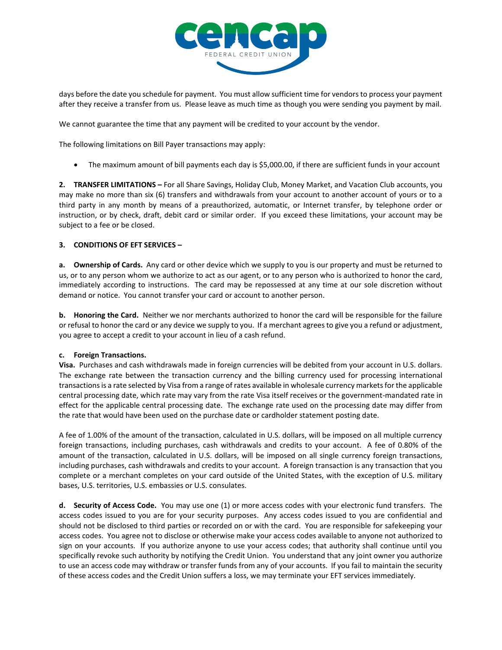

days before the date you schedule for payment. You must allow sufficient time for vendors to process your payment after they receive a transfer from us. Please leave as much time as though you were sending you payment by mail.

We cannot guarantee the time that any payment will be credited to your account by the vendor.

The following limitations on Bill Payer transactions may apply:

• The maximum amount of bill payments each day is \$5,000.00, if there are sufficient funds in your account

**2. TRANSFER LIMITATIONS –** For all Share Savings, Holiday Club, Money Market, and Vacation Club accounts, you may make no more than six (6) transfers and withdrawals from your account to another account of yours or to a third party in any month by means of a preauthorized, automatic, or Internet transfer, by telephone order or instruction, or by check, draft, debit card or similar order. If you exceed these limitations, your account may be subject to a fee or be closed.

### **3. CONDITIONS OF EFT SERVICES –**

**a. Ownership of Cards.** Any card or other device which we supply to you is our property and must be returned to us, or to any person whom we authorize to act as our agent, or to any person who is authorized to honor the card, immediately according to instructions. The card may be repossessed at any time at our sole discretion without demand or notice. You cannot transfer your card or account to another person.

**b. Honoring the Card.** Neither we nor merchants authorized to honor the card will be responsible for the failure or refusal to honor the card or any device we supply to you. If a merchant agrees to give you a refund or adjustment, you agree to accept a credit to your account in lieu of a cash refund.

#### **c. Foreign Transactions.**

**Visa.** Purchases and cash withdrawals made in foreign currencies will be debited from your account in U.S. dollars. The exchange rate between the transaction currency and the billing currency used for processing international transactions is a rate selected by Visa from a range of rates available in wholesale currency markets for the applicable central processing date, which rate may vary from the rate Visa itself receives or the government-mandated rate in effect for the applicable central processing date. The exchange rate used on the processing date may differ from the rate that would have been used on the purchase date or cardholder statement posting date.

A fee of 1.00% of the amount of the transaction, calculated in U.S. dollars, will be imposed on all multiple currency foreign transactions, including purchases, cash withdrawals and credits to your account. A fee of 0.80% of the amount of the transaction, calculated in U.S. dollars, will be imposed on all single currency foreign transactions, including purchases, cash withdrawals and credits to your account. A foreign transaction is any transaction that you complete or a merchant completes on your card outside of the United States, with the exception of U.S. military bases, U.S. territories, U.S. embassies or U.S. consulates.

**d. Security of Access Code.** You may use one (1) or more access codes with your electronic fund transfers. The access codes issued to you are for your security purposes. Any access codes issued to you are confidential and should not be disclosed to third parties or recorded on or with the card. You are responsible for safekeeping your access codes. You agree not to disclose or otherwise make your access codes available to anyone not authorized to sign on your accounts. If you authorize anyone to use your access codes; that authority shall continue until you specifically revoke such authority by notifying the Credit Union. You understand that any joint owner you authorize to use an access code may withdraw or transfer funds from any of your accounts. If you fail to maintain the security of these access codes and the Credit Union suffers a loss, we may terminate your EFT services immediately.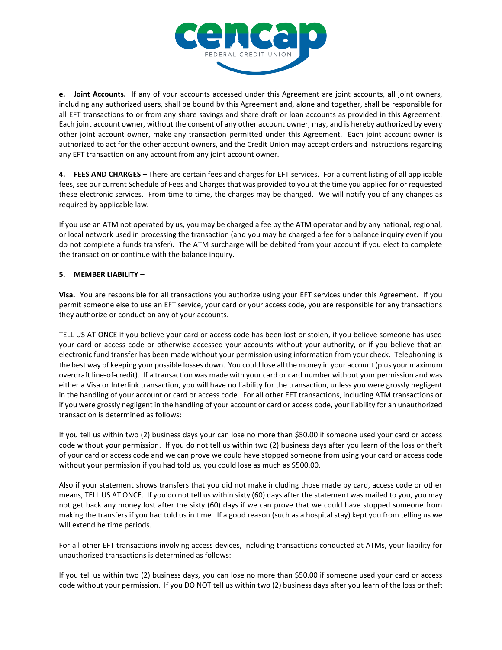

**e. Joint Accounts.** If any of your accounts accessed under this Agreement are joint accounts, all joint owners, including any authorized users, shall be bound by this Agreement and, alone and together, shall be responsible for all EFT transactions to or from any share savings and share draft or loan accounts as provided in this Agreement. Each joint account owner, without the consent of any other account owner, may, and is hereby authorized by every other joint account owner, make any transaction permitted under this Agreement. Each joint account owner is authorized to act for the other account owners, and the Credit Union may accept orders and instructions regarding any EFT transaction on any account from any joint account owner.

**4. FEES AND CHARGES –** There are certain fees and charges for EFT services. For a current listing of all applicable fees, see our current Schedule of Fees and Charges that was provided to you at the time you applied for or requested these electronic services. From time to time, the charges may be changed. We will notify you of any changes as required by applicable law.

If you use an ATM not operated by us, you may be charged a fee by the ATM operator and by any national, regional, or local network used in processing the transaction (and you may be charged a fee for a balance inquiry even if you do not complete a funds transfer). The ATM surcharge will be debited from your account if you elect to complete the transaction or continue with the balance inquiry.

# **5. MEMBER LIABILITY –**

**Visa.** You are responsible for all transactions you authorize using your EFT services under this Agreement. If you permit someone else to use an EFT service, your card or your access code, you are responsible for any transactions they authorize or conduct on any of your accounts.

TELL US AT ONCE if you believe your card or access code has been lost or stolen, if you believe someone has used your card or access code or otherwise accessed your accounts without your authority, or if you believe that an electronic fund transfer has been made without your permission using information from your check. Telephoning is the best way of keeping your possible losses down. You could lose all the money in your account (plus your maximum overdraft line-of-credit). If a transaction was made with your card or card number without your permission and was either a Visa or Interlink transaction, you will have no liability for the transaction, unless you were grossly negligent in the handling of your account or card or access code. For all other EFT transactions, including ATM transactions or if you were grossly negligent in the handling of your account or card or access code, your liability for an unauthorized transaction is determined as follows:

If you tell us within two (2) business days your can lose no more than \$50.00 if someone used your card or access code without your permission. If you do not tell us within two (2) business days after you learn of the loss or theft of your card or access code and we can prove we could have stopped someone from using your card or access code without your permission if you had told us, you could lose as much as \$500.00.

Also if your statement shows transfers that you did not make including those made by card, access code or other means, TELL US AT ONCE. If you do not tell us within sixty (60) days after the statement was mailed to you, you may not get back any money lost after the sixty (60) days if we can prove that we could have stopped someone from making the transfers if you had told us in time. If a good reason (such as a hospital stay) kept you from telling us we will extend he time periods.

For all other EFT transactions involving access devices, including transactions conducted at ATMs, your liability for unauthorized transactions is determined as follows:

If you tell us within two (2) business days, you can lose no more than \$50.00 if someone used your card or access code without your permission. If you DO NOT tell us within two (2) business days after you learn of the loss or theft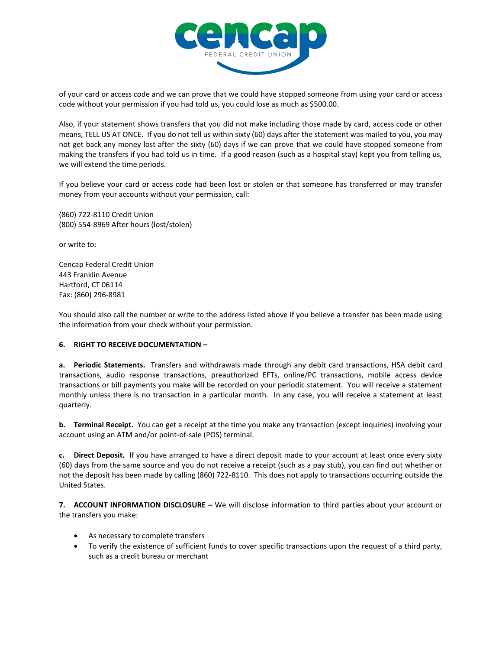

of your card or access code and we can prove that we could have stopped someone from using your card or access code without your permission if you had told us, you could lose as much as \$500.00.

Also, if your statement shows transfers that you did not make including those made by card, access code or other means, TELL US AT ONCE. If you do not tell us within sixty (60) days after the statement was mailed to you, you may not get back any money lost after the sixty (60) days if we can prove that we could have stopped someone from making the transfers if you had told us in time. If a good reason (such as a hospital stay) kept you from telling us, we will extend the time periods.

If you believe your card or access code had been lost or stolen or that someone has transferred or may transfer money from your accounts without your permission, call:

(860) 722-8110 Credit Union (800) 554-8969 After hours (lost/stolen)

or write to:

Cencap Federal Credit Union 443 Franklin Avenue Hartford, CT 06114 Fax: (860) 296-8981

You should also call the number or write to the address listed above if you believe a transfer has been made using the information from your check without your permission.

## **6. RIGHT TO RECEIVE DOCUMENTATION –**

**a. Periodic Statements.** Transfers and withdrawals made through any debit card transactions, HSA debit card transactions, audio response transactions, preauthorized EFTs, online/PC transactions, mobile access device transactions or bill payments you make will be recorded on your periodic statement. You will receive a statement monthly unless there is no transaction in a particular month. In any case, you will receive a statement at least quarterly.

**b. Terminal Receipt.** You can get a receipt at the time you make any transaction (except inquiries) involving your account using an ATM and/or point-of-sale (POS) terminal.

**c. Direct Deposit.** If you have arranged to have a direct deposit made to your account at least once every sixty (60) days from the same source and you do not receive a receipt (such as a pay stub), you can find out whether or not the deposit has been made by calling (860) 722-8110. This does not apply to transactions occurring outside the United States.

**7. ACCOUNT INFORMATION DISCLOSURE –** We will disclose information to third parties about your account or the transfers you make:

- As necessary to complete transfers
- To verify the existence of sufficient funds to cover specific transactions upon the request of a third party, such as a credit bureau or merchant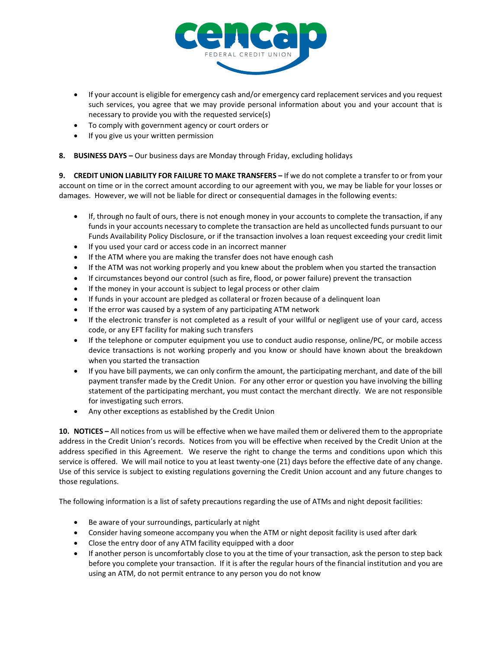

- If your account is eligible for emergency cash and/or emergency card replacement services and you request such services, you agree that we may provide personal information about you and your account that is necessary to provide you with the requested service(s)
- To comply with government agency or court orders or
- If you give us your written permission
- **8. BUSINESS DAYS –** Our business days are Monday through Friday, excluding holidays

**9. CREDIT UNION LIABILITY FOR FAILURE TO MAKE TRANSFERS –** If we do not complete a transfer to or from your account on time or in the correct amount according to our agreement with you, we may be liable for your losses or damages. However, we will not be liable for direct or consequential damages in the following events:

- If, through no fault of ours, there is not enough money in your accounts to complete the transaction, if any funds in your accounts necessary to complete the transaction are held as uncollected funds pursuant to our Funds Availability Policy Disclosure, or if the transaction involves a loan request exceeding your credit limit
- If you used your card or access code in an incorrect manner
- If the ATM where you are making the transfer does not have enough cash
- If the ATM was not working properly and you knew about the problem when you started the transaction
- If circumstances beyond our control (such as fire, flood, or power failure) prevent the transaction
- If the money in your account is subject to legal process or other claim
- If funds in your account are pledged as collateral or frozen because of a delinquent loan
- If the error was caused by a system of any participating ATM network
- If the electronic transfer is not completed as a result of your willful or negligent use of your card, access code, or any EFT facility for making such transfers
- If the telephone or computer equipment you use to conduct audio response, online/PC, or mobile access device transactions is not working properly and you know or should have known about the breakdown when you started the transaction
- If you have bill payments, we can only confirm the amount, the participating merchant, and date of the bill payment transfer made by the Credit Union. For any other error or question you have involving the billing statement of the participating merchant, you must contact the merchant directly. We are not responsible for investigating such errors.
- Any other exceptions as established by the Credit Union

**10. NOTICES –** All notices from us will be effective when we have mailed them or delivered them to the appropriate address in the Credit Union's records. Notices from you will be effective when received by the Credit Union at the address specified in this Agreement. We reserve the right to change the terms and conditions upon which this service is offered. We will mail notice to you at least twenty-one (21) days before the effective date of any change. Use of this service is subject to existing regulations governing the Credit Union account and any future changes to those regulations.

The following information is a list of safety precautions regarding the use of ATMs and night deposit facilities:

- Be aware of your surroundings, particularly at night
- Consider having someone accompany you when the ATM or night deposit facility is used after dark
- Close the entry door of any ATM facility equipped with a door
- If another person is uncomfortably close to you at the time of your transaction, ask the person to step back before you complete your transaction. If it is after the regular hours of the financial institution and you are using an ATM, do not permit entrance to any person you do not know